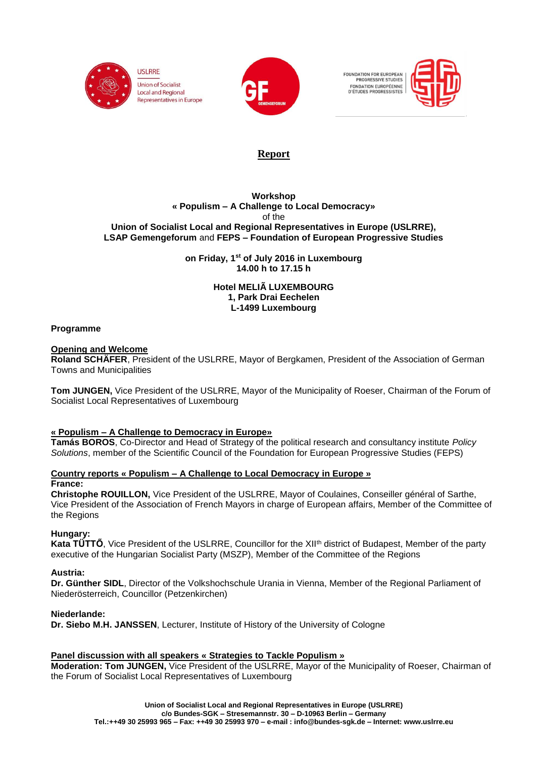



FOUNDATION FOR EUROPEAN<br>PROGRESSIVE STUDIES FONDATION EUROPÉENNE<br>D'ÉTUDES PROGRESSISTES



# **Report**

#### **Workshop « Populism – A Challenge to Local Democracy»** of the **Union of Socialist Local and Regional Representatives in Europe (USLRRE), LSAP Gemengeforum** and **FEPS – Foundation of European Progressive Studies**

**on Friday, 1st of July 2016 in Luxembourg 14.00 h to 17.15 h**

> **Hotel MELIÃ LUXEMBOURG 1, Park Drai Eechelen L-1499 Luxembourg**

## **Programme**

## **Opening and Welcome**

**Roland SCHÄFER**, President of the USLRRE, Mayor of Bergkamen, President of the Association of German Towns and Municipalities

**Tom JUNGEN,** Vice President of the USLRRE, Mayor of the Municipality of Roeser, Chairman of the Forum of Socialist Local Representatives of Luxembourg

## **« Populism – A Challenge to Democracy in Europe»**

**Tamás BOROS**, Co-Director and Head of Strategy of the political research and consultancy institute *Policy Solutions*, member of the Scientific Council of the Foundation for European Progressive Studies (FEPS)

## **Country reports « Populism – A Challenge to Local Democracy in Europe »**

#### **France:**

**Christophe ROUILLON,** Vice President of the USLRRE, Mayor of Coulaines, Conseiller général of Sarthe, Vice President of the Association of French Mayors in charge of European affairs, Member of the Committee of the Regions

## **Hungary:**

**Kata TÜTTŐ**, Vice President of the USLRRE, Councillor for the XII<sup>th</sup> district of Budapest, Member of the party executive of the Hungarian Socialist Party (MSZP), Member of the Committee of the Regions

#### **Austria:**

**Dr. Günther SIDL**, Director of the Volkshochschule Urania in Vienna, Member of the Regional Parliament of Niederösterreich, Councillor (Petzenkirchen)

## **Niederlande:**

**Dr. Siebo M.H. JANSSEN**, Lecturer, Institute of History of the University of Cologne

## **Panel discussion with all speakers « Strategies to Tackle Populism »**

**Moderation: Tom JUNGEN,** Vice President of the USLRRE, Mayor of the Municipality of Roeser, Chairman of the Forum of Socialist Local Representatives of Luxembourg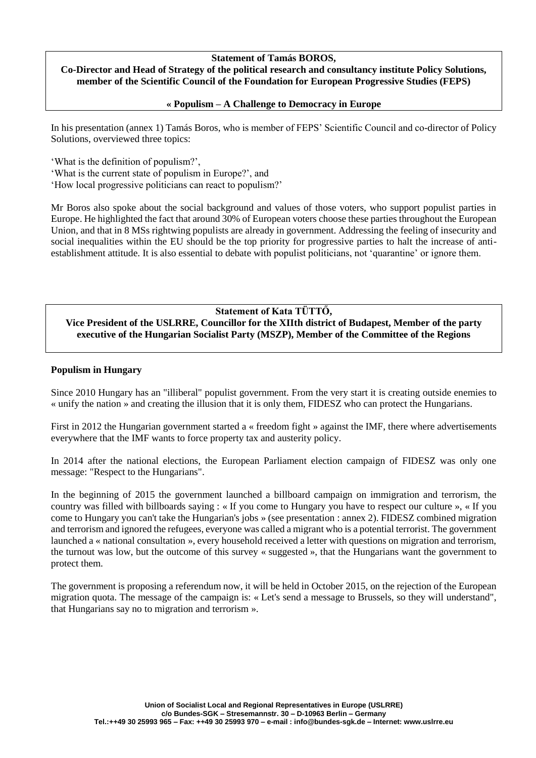## **Statement of Tamás BOROS,**

#### **Co-Director and Head of Strategy of the political research and consultancy institute Policy Solutions, member of the Scientific Council of the Foundation for European Progressive Studies (FEPS)**

#### **« Populism – A Challenge to Democracy in Europe**

In his presentation (annex 1) Tamás Boros, who is member of FEPS' Scientific Council and co-director of Policy Solutions, overviewed three topics:

'What is the definition of populism?',

'What is the current state of populism in Europe?', and

'How local progressive politicians can react to populism?'

Mr Boros also spoke about the social background and values of those voters, who support populist parties in Europe. He highlighted the fact that around 30% of European voters choose these parties throughout the European Union, and that in 8 MSs rightwing populists are already in government. Addressing the feeling of insecurity and social inequalities within the EU should be the top priority for progressive parties to halt the increase of antiestablishment attitude. It is also essential to debate with populist politicians, not 'quarantine' or ignore them.

## **Statement of Kata TÜTTŐ,**

**Vice President of the USLRRE, Councillor for the XIIth district of Budapest, Member of the party executive of the Hungarian Socialist Party (MSZP), Member of the Committee of the Regions**

#### **Populism in Hungary**

Since 2010 Hungary has an "illiberal" populist government. From the very start it is creating outside enemies to « unify the nation » and creating the illusion that it is only them, FIDESZ who can protect the Hungarians.

First in 2012 the Hungarian government started a « freedom fight » against the IMF, there where advertisements everywhere that the IMF wants to force property tax and austerity policy.

In 2014 after the national elections, the European Parliament election campaign of FIDESZ was only one message: "Respect to the Hungarians".

In the beginning of 2015 the government launched a billboard campaign on immigration and terrorism, the country was filled with billboards saying : « If you come to Hungary you have to respect our culture », « If you come to Hungary you can't take the Hungarian's jobs » (see presentation : annex 2). FIDESZ combined migration and terrorism and ignored the refugees, everyone was called a migrant who is a potential terrorist. The government launched a « national consultation », every household received a letter with questions on migration and terrorism, the turnout was low, but the outcome of this survey « suggested », that the Hungarians want the government to protect them.

The government is proposing a referendum now, it will be held in October 2015, on the rejection of the European migration quota. The message of the campaign is: « Let's send a message to Brussels, so they will understand", that Hungarians say no to migration and terrorism ».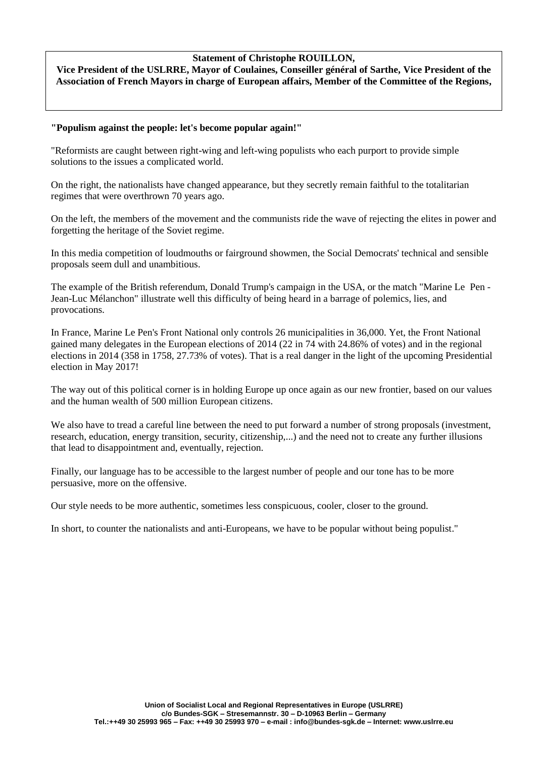## **Statement of Christophe ROUILLON,**

**Vice President of the USLRRE, Mayor of Coulaines, Conseiller général of Sarthe, Vice President of the Association of French Mayors in charge of European affairs, Member of the Committee of the Regions,**

## **"Populism against the people: let's become popular again!"**

"Reformists are caught between right-wing and left-wing populists who each purport to provide simple solutions to the issues a complicated world.

On the right, the nationalists have changed appearance, but they secretly remain faithful to the totalitarian regimes that were overthrown 70 years ago.

On the left, the members of the movement and the communists ride the wave of rejecting the elites in power and forgetting the heritage of the Soviet regime.

In this media competition of loudmouths or fairground showmen, the Social Democrats' technical and sensible proposals seem dull and unambitious.

The example of the British referendum, Donald Trump's campaign in the USA, or the match "Marine Le Pen - Jean-Luc Mélanchon" illustrate well this difficulty of being heard in a barrage of polemics, lies, and provocations.

In France, Marine Le Pen's Front National only controls 26 municipalities in 36,000. Yet, the Front National gained many delegates in the European elections of 2014 (22 in 74 with 24.86% of votes) and in the regional elections in 2014 (358 in 1758, 27.73% of votes). That is a real danger in the light of the upcoming Presidential election in May 2017!

The way out of this political corner is in holding Europe up once again as our new frontier, based on our values and the human wealth of 500 million European citizens.

We also have to tread a careful line between the need to put forward a number of strong proposals (investment, research, education, energy transition, security, citizenship,...) and the need not to create any further illusions that lead to disappointment and, eventually, rejection.

Finally, our language has to be accessible to the largest number of people and our tone has to be more persuasive, more on the offensive.

Our style needs to be more authentic, sometimes less conspicuous, cooler, closer to the ground.

In short, to counter the nationalists and anti-Europeans, we have to be popular without being populist."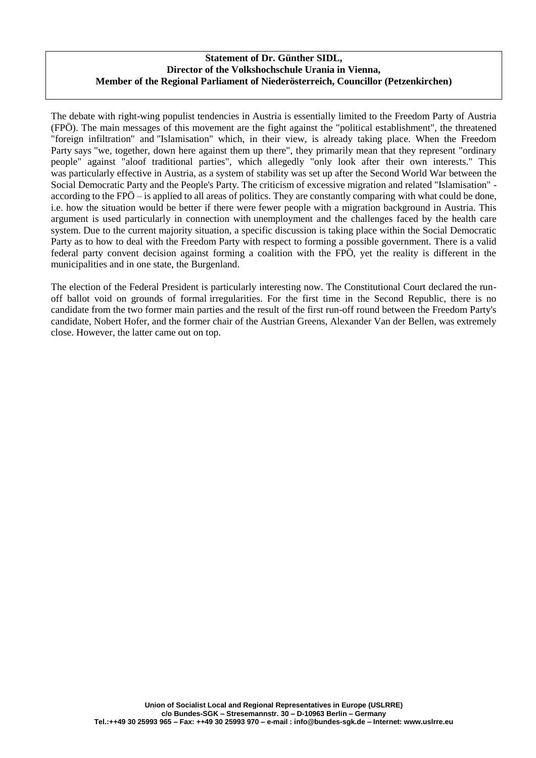## **Statement of Dr. Günther SIDL, Director of the Volkshochschule Urania in Vienna, Member of the Regional Parliament of Niederösterreich, Councillor (Petzenkirchen)**

The debate with right-wing populist tendencies in Austria is essentially limited to the Freedom Party of Austria (FPÖ). The main messages of this movement are the fight against the "political establishment", the threatened "foreign infiltration" and "Islamisation" which, in their view, is already taking place. When the Freedom Party says "we, together, down here against them up there", they primarily mean that they represent "ordinary people" against "aloof traditional parties", which allegedly "only look after their own interests." This was particularly effective in Austria, as a system of stability was set up after the Second World War between the Social Democratic Party and the People's Party. The criticism of excessive migration and related "Islamisation" according to the FPÖ – is applied to all areas of politics. They are constantly comparing with what could be done, i.e. how the situation would be better if there were fewer people with a migration background in Austria. This argument is used particularly in connection with unemployment and the challenges faced by the health care system. Due to the current majority situation, a specific discussion is taking place within the Social Democratic Party as to how to deal with the Freedom Party with respect to forming a possible government. There is a valid federal party convent decision against forming a coalition with the FPÖ, yet the reality is different in the municipalities and in one state, the Burgenland.

The election of the Federal President is particularly interesting now. The Constitutional Court declared the runoff ballot void on grounds of formal irregularities. For the first time in the Second Republic, there is no candidate from the two former main parties and the result of the first run-off round between the Freedom Party's candidate, Nobert Hofer, and the former chair of the Austrian Greens, Alexander Van der Bellen, was extremely close. However, the latter came out on top.